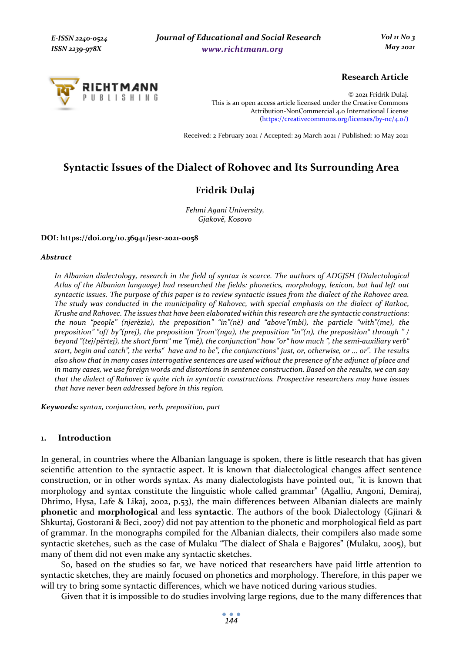

## **Research Article**

© 2021 Fridrik Dulaj. This is an open access article licensed under the Creative Commons Attribution-NonCommercial 4.0 International License (https://creativecommons.org/licenses/by-nc/4.0/)

Received: 2 February 2021 / Accepted: 29 March 2021 / Published: 10 May 2021

# **Syntactic Issues of the Dialect of Rohovec and Its Surrounding Area**

## **Fridrik Dulaj**

*Fehmi Agani University, Gjakovë, Kosovo* 

#### **DOI: https://doi.org/10.36941/jesr-2021-0058**

#### *Abstract*

*In Albanian dialectology, research in the field of syntax is scarce. The authors of ADGJSH (Dialectological Atlas of the Albanian language) had researched the fields: phonetics, morphology, lexicon, but had left out syntactic issues. The purpose of this paper is to review syntactic issues from the dialect of the Rahovec area. The study was conducted in the municipality of Rahovec, with special emphasis on the dialect of Ratkoc, Krushe and Rahovec. The issues that have been elaborated within this research are the syntactic constructions: the noun "people" (njerëzia), the preposition" "in"(në) and "above"(mbi), the particle "with"(me), the preposition" "of/ by"(prej), the preposition "from"(nga), the preposition "in"(n), the preposition" through " / beyond "(tej/përtej), the short form" me "(më), the conjunction" how "or" how much ", the semi-auxiliary verb" start, begin and catch", the verbs" have and to be", the conjunctions" just, or, otherwise, or ... or". The results also show that in many cases interrogative sentences are used without the presence of the adjunct of place and in many cases, we use foreign words and distortions in sentence construction. Based on the results, we can say that the dialect of Rahovec is quite rich in syntactic constructions. Prospective researchers may have issues that have never been addressed before in this region.* 

*Keywords: syntax, conjunction, verb, preposition, part* 

#### **1. Introduction**

In general, in countries where the Albanian language is spoken, there is little research that has given scientific attention to the syntactic aspect. It is known that dialectological changes affect sentence construction, or in other words syntax. As many dialectologists have pointed out, "it is known that morphology and syntax constitute the linguistic whole called grammar" (Agalliu, Angoni, Demiraj, Dhrimo, Hysa, Lafe & Likaj, 2002, p.53), the main differences between Albanian dialects are mainly **phonetic** and **morphological** and less **syntactic**. The authors of the book Dialectology (Gjinari & Shkurtaj, Gostorani & Beci, 2007) did not pay attention to the phonetic and morphological field as part of grammar. In the monographs compiled for the Albanian dialects, their compilers also made some syntactic sketches, such as the case of Mulaku "The dialect of Shala e Bajgores" (Mulaku, 2005), but many of them did not even make any syntactic sketches.

So, based on the studies so far, we have noticed that researchers have paid little attention to syntactic sketches, they are mainly focused on phonetics and morphology. Therefore, in this paper we will try to bring some syntactic differences, which we have noticed during various studies.

Given that it is impossible to do studies involving large regions, due to the many differences that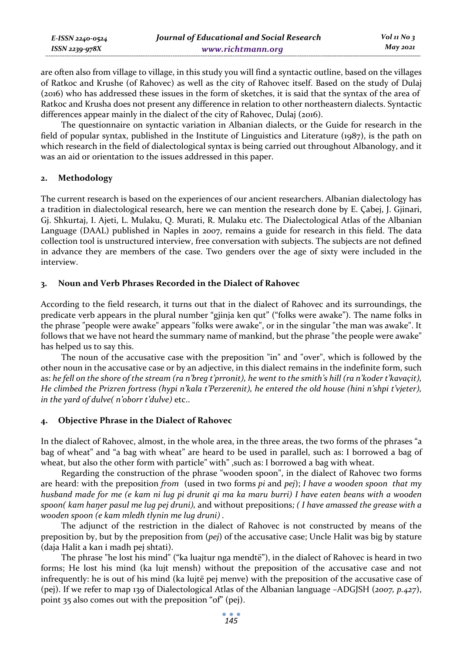| E-ISSN 2240-0524    | Journal of Educational and Social Research | Vol 11 No $\frac{1}{3}$ |
|---------------------|--------------------------------------------|-------------------------|
| $ISSN$ 2239-97 $8X$ | www.richtmann.org                          | May 2021                |

are often also from village to village, in this study you will find a syntactic outline, based on the villages of Ratkoc and Krushe (of Rahovec) as well as the city of Rahovec itself. Based on the study of Dulaj (2016) who has addressed these issues in the form of sketches, it is said that the syntax of the area of Ratkoc and Krusha does not present any difference in relation to other northeastern dialects. Syntactic differences appear mainly in the dialect of the city of Rahovec, Dulaj (2016).

The questionnaire on syntactic variation in Albanian dialects, or the Guide for research in the field of popular syntax, published in the Institute of Linguistics and Literature (1987), is the path on which research in the field of dialectological syntax is being carried out throughout Albanology, and it was an aid or orientation to the issues addressed in this paper.

#### **2. Methodology**

The current research is based on the experiences of our ancient researchers. Albanian dialectology has a tradition in dialectological research, here we can mention the research done by E. Çabej, J. Gjinari, Gj. Shkurtaj, I. Ajeti, L. Mulaku, Q. Murati, R. Mulaku etc. The Dialectological Atlas of the Albanian Language (DAAL) published in Naples in 2007, remains a guide for research in this field. The data collection tool is unstructured interview, free conversation with subjects. The subjects are not defined in advance they are members of the case. Two genders over the age of sixty were included in the interview.

#### **3. Noun and Verb Phrases Recorded in the Dialect of Rahovec**

According to the field research, it turns out that in the dialect of Rahovec and its surroundings, the predicate verb appears in the plural number "gjinja ken qut" ("folks were awake"). The name folks in the phrase "people were awake" appears "folks were awake", or in the singular "the man was awake". It follows that we have not heard the summary name of mankind, but the phrase "the people were awake" has helped us to say this.

The noun of the accusative case with the preposition "in" and "over", which is followed by the other noun in the accusative case or by an adjective, in this dialect remains in the indefinite form, such as: *he fell on the shore of the stream (ra n'breg t'prronit), he went to the smith's hill (ra n'koder t'kavaçit), He climbed the Prizren fortress (hypi n'kala t'Perzerenit), he entered the old house (hini n'shpi t'vjeter), in the yard of dulve( n'oborr t'dulve)* etc..

## **4. Objective Phrase in the Dialect of Rahovec**

In the dialect of Rahovec, almost, in the whole area, in the three areas, the two forms of the phrases "a bag of wheat" and "a bag with wheat" are heard to be used in parallel, such as: I borrowed a bag of wheat, but also the other form with particle" with" , such as: I borrowed a bag with wheat.

Regarding the construction of the phrase "wooden spoon", in the dialect of Rahovec two forms are heard: with the preposition *from* (used in two forms *pi* and *pej*); *I have a wooden spoon that my husband made for me (e kam ni lug pi drunit qi ma ka maru burri) I have eaten beans with a wooden spoon( kam haŋer pasul me lug pej druni),* and without prepositions*; ( I have amassed the grease with a wooden spoon (e kam mledh tlynin me lug druni) .* 

The adjunct of the restriction in the dialect of Rahovec is not constructed by means of the preposition by, but by the preposition from (*pej*) of the accusative case; Uncle Halit was big by stature (daja Halit a kan i madh pej shtati).

The phrase "he lost his mind" ("ka luajtur nga mendtë"), in the dialect of Rahovec is heard in two forms; He lost his mind (ka lujt mensh) without the preposition of the accusative case and not infrequently: he is out of his mind (ka lujtë pej menve) with the preposition of the accusative case of (pej). If we refer to map 139 of Dialectological Atlas of the Albanian language –ADGJSH (*2007, p.427*), point 35 also comes out with the preposition "of" (pej).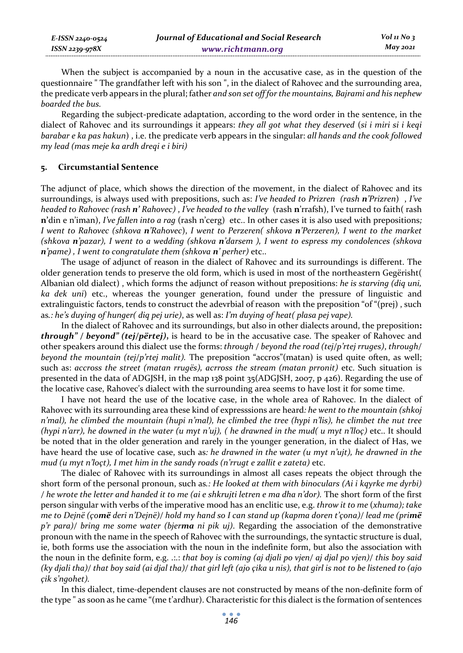| E-ISSN 2240-0524 | Journal of Educational and Social Research | Vol 11 No 3 |
|------------------|--------------------------------------------|-------------|
| ISSN 2239-978X   | www.richtmann.org                          | May 2021    |

When the subject is accompanied by a noun in the accusative case, as in the question of the questionnaire " The grandfather left with his son ", in the dialect of Rahovec and the surrounding area, the predicate verb appears in the plural; father *and son set off for the mountains, Bajrami and his nephew boarded the bus.* 

Regarding the subject-predicate adaptation, according to the word order in the sentence, in the dialect of Rahovec and its surroundings it appears: *they all got what they deserved* (*si i miri si i keqi barabar e ka pas hakun*) , i.e. the predicate verb appears in the singular: *all hands and the cook followed my lead (mas meje ka ardh dreqi e i biri)* 

#### **5. Circumstantial Sentence**

The adjunct of place, which shows the direction of the movement, in the dialect of Rahovec and its surroundings, is always used with prepositions, such as: *I've headed to Prizren (rash n'Prizren*) , *I've headed to Rahovec (rash n' Rahovec)* , *I've headed to the valley* (rash **n**'rrafsh), I've turned to faith( rash **n'**din e n'iman), *I've fallen into a rag* (rash n'cerg) etc.. In other cases it is also used with prepositions*; I went to Rahovec (shkova n'Rahovec*), *I went to Perzeren( shkova n'Perzeren), I went to the market (shkova n'pazar), I went to a wedding (shkova n'darsem ), I went to espress my condolences (shkova n'pame) , I went to congratulate them (shkova n' perher)* etc..

The usage of adjunct of reason in the dialect of Rahovec and its surroundings is different. The older generation tends to preserve the old form, which is used in most of the northeastern Gegërisht( Albanian old dialect) , which forms the adjunct of reason without prepositions: *he is starving (diq uni, ka dek uni*) etc., whereas the younger generation, found under the pressure of linguistic and extralinguistic factors, tends to construct the adevrbial of reason with the preposition "of "(prej) , such as*.: he's duying of hunger( diq pej urie)*, as well as: *I'm duying of heat( plasa pej vape).* 

In the dialect of Rahovec and its surroundings, but also in other dialects around, the preposition**:**  *through" / beyond" (tej/përtej)***,** is heard to be in the accusative case. The speaker of Rahovec and other speakers around this dialect use the forms: *through / beyond the road (tej/p'rtej rruges)*, *through/ beyond the mountain (tej/p'rtej malit).* The preposition "accros"(matan) is used quite often, as well; such as: *accross the street (matan rrugës), acrross the stream (matan prronit)* etc. Such situation is presented in the data of ADGJSH, in the map 138 point 35(ADGJSH, 2007, p 426). Regarding the use of the locative case, Rahovec's dialect with the surrounding area seems to have lost it for some time.

I have not heard the use of the locative case, in the whole area of Rahovec. In the dialect of Rahovec with its surrounding area these kind of expresssions are heard*: he went to the mountain (shkoj n'mal), he climbed the mountain (hupi n'mal), he climbed the tree (hypi n'lis), he climbet the nut tree (hypi n'arr), he downed in the water (u myt n'uj), ( he drawned in the mud( u myt n'lloç)* etc.. It should be noted that in the older generation and rarely in the younger generation, in the dialect of Has, we have heard the use of locative case, such as*: he drawned in the water (u myt n'ujt), he drawned in the mud (u myt n'loçt), I met him in the sandy roads (n'rrugt e zallit e zateta)* etc.

The dialec of Rahovec with its surroundings in almost all cases repeats the object through the short form of the personal pronoun, such as*.: He looked at them with binoculars (Ai i kqyrke me dyrbi) / he wrote the letter and handed it to me (ai e shkrujti letren e ma dha n'dor).* The short form of the first person singular with verbs of the imperative mood has an enclitic use, e.g. *throw it to me* (*xhuma); take me to Dejnë (çomë deri n'Dejnë)/ hold my hand so I can stand up (kapma doren t'çona)/ lead me (primë p'r para)/ bring me some water (bjerma ni pik uj)*. Regarding the association of the demonstrative pronoun with the name in the speech of Rahovec with the surroundings, the syntactic structure is dual, ie, both forms use the association with the noun in the indefinite form, but also the association with the noun in the definite form, e.g. .:.: *that boy is coming (aj djali po vjen/ aj djal po vjen)/ this boy said (ky djali tha)/ that boy said (ai djal tha)/ that girl left (ajo çika u nis), that girl is not to be listened to (ajo çik s'ngohet).* 

In this dialect, time-dependent clauses are not constructed by means of the non-definite form of the type " as soon as he came "(me t'ardhur). Characteristic for this dialect is the formation of sentences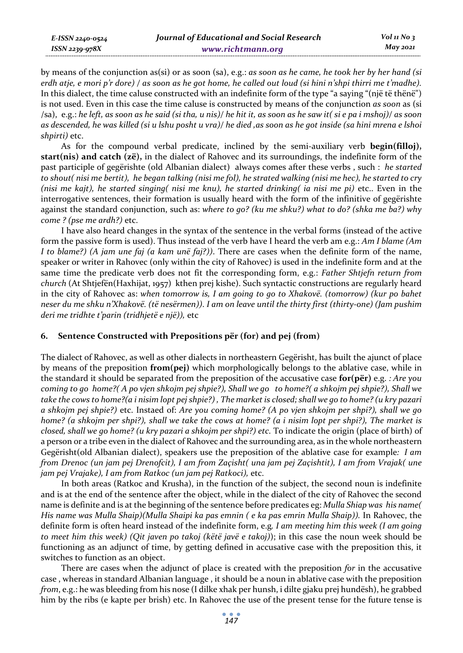*E-ISSN 2240-0524 ISSN 2239-978X*

by means of the conjunction as(si) or as soon (sa), e.g.: *as soon as he came, he took her by her hand (si erdh atje, e mori p'r dore) / as soon as he got home, he called out loud (si hini n'shpi thirri me t'madhe).*  In this dialect, the time caluse constructed with an indefinite form of the type "a saying "(një të thënë") is not used. Even in this case the time caluse is constructed by means of the conjunction *as soon* as (si /sa), e.g.: *he left, as soon as he said (si tha, u nis)/ he hit it, as soon as he saw it( si e pa i mshoj)/ as soon as descended, he was killed (si u lshu posht u vra)/ he died ,as soon as he got inside (sa hini mrena e lshoi shpirti)* etc.

As for the compound verbal predicate, inclined by the semi-auxiliary verb **begin(filloj), start(nis) and catch (zë),** in the dialect of Rahovec and its surroundings, the indefinite form of the past participle of gegërishte (old Albanian dialect) always comes after these verbs , such : *he started to shout( nisi me bertit), he began talking (nisi me fol), he strated walking (nisi me hec), he started to cry (nisi me kajt), he started singing( nisi me knu), he started drinking( ia nisi me pi)* etc.. Even in the interrogative sentences, their formation is usually heard with the form of the infinitive of gegërishte against the standard conjunction, such as: *where to go? (ku me shku?) what to do? (shka me ba?) why come ? (pse me ardh?)* etc.

I have also heard changes in the syntax of the sentence in the verbal forms (instead of the active form the passive form is used). Thus instead of the verb have I heard the verb am e.g.: *Am I blame (Am I to blame?) (A jam une faj (a kam unë faj?))*. There are cases when the definite form of the name, speaker or writer in Rahovec (only within the city of Rahovec) is used in the indefinite form and at the same time the predicate verb does not fit the corresponding form, e.g.: *Father Shtjefn return from church* (At Shtjefën(Haxhijat, 1957) kthen prej kishe). Such syntactic constructions are regularly heard in the city of Rahovec as: *when tomorrow is, I am going to go to Xhakovë. (tomorrow) (kur po bahet neser du me shku n'Xhakovë. (të nesërmen))*. *I am on leave until the thirty first (thirty-one) (Jam pushim deri me tridhte t'parin (tridhjetë e një)),* etc

## **6. Sentence Constructed with Prepositions për (for) and pej (from)**

The dialect of Rahovec, as well as other dialects in northeastern Gegërisht, has built the ajunct of place by means of the preposition **from(pej)** which morphologically belongs to the ablative case, while in the standard it should be separated from the preposition of the accusative case **for(për)** e.g. *: Are you coming to go home?( A po vjen shkojm pej shpie?), Shall we go to home?( a shkojm pej shpie?), Shall we take the cows to home?(a i nisim lopt pej shpie?) , The market is closed; shall we go to home? (u kry pazari a shkojm pej shpie?)* etc. Instaed of: *Are you coming home? (A po vjen shkojm per shpi?), shall we go home? (a shkojm per shpi?), shall we take the cows at home? (a i nisim lopt per shpi?), The market is closed, shall we go home? (u kry pazari a shkojm per shpi?) etc.* To indicate the origin (place of birth) of a person or a tribe even in the dialect of Rahovec and the surrounding area, as in the whole northeastern Gegërisht(old Albanian dialect), speakers use the preposition of the ablative case for example*: I am from Drenoc (un jam pej Drenofcit), I am from Zaçisht( una jam pej Zaçishtit), I am from Vrajak( une jam pej Vrajake), I am from Ratkoc (un jam pej Ratkoci),* etc.

In both areas (Ratkoc and Krusha), in the function of the subject, the second noun is indefinite and is at the end of the sentence after the object, while in the dialect of the city of Rahovec the second name is definite and is at the beginning of the sentence before predicates eg: *Mulla Shiap was his name( His name was Mulla Shaip)(Mulla Shaipi ka pas emnin ( e ka pas emrin Mulla Shaip)).* In Rahovec, the definite form is often heard instead of the indefinite form, e.g*. I am meeting him this week (I am going to meet him this week) (Qit javen po takoj (këtë javë e takoj)*); in this case the noun week should be functioning as an adjunct of time, by getting defined in accusative case with the preposition this, it switches to function as an object.

There are cases when the adjunct of place is created with the preposition *for* in the accusative case , whereas in standard Albanian language , it should be a noun in ablative case with the preposition *from*, e.g.: he was bleeding from his nose (I dilke xhak per hunsh, i dilte gjaku prej hundësh), he grabbed him by the ribs (e kapte per brish) etc. In Rahovec the use of the present tense for the future tense is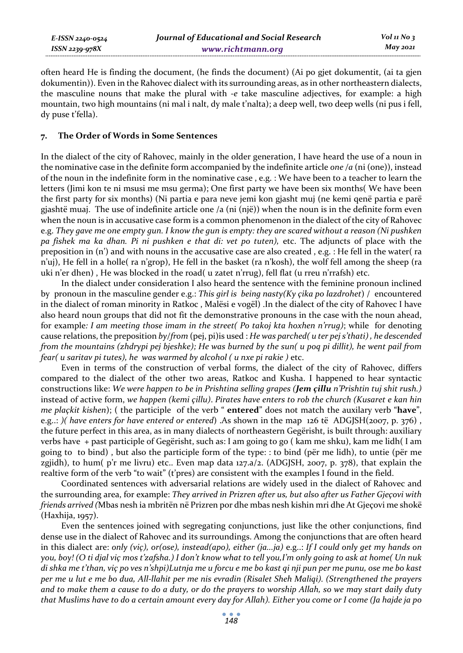*E-ISSN 2240-0524 ISSN 2239-978X*

often heard He is finding the document, (he finds the document) (Ai po gjet dokumentit, (ai ta gjen dokumentin)). Even in the Rahovec dialect with its surrounding areas, as in other northeastern dialects, the masculine nouns that make the plural with *-e* take masculine adjectives, for example: a high mountain, two high mountains (ni mal i nalt, dy male t'nalta); a deep well, two deep wells (ni pus i fell, dy puse t'fella).

#### **7. The Order of Words in Some Sentences**

In the dialect of the city of Rahovec, mainly in the older generation, I have heard the use of a noun in the nominative case in the definite form accompanied by the indefinite article *one /a* (ni (one)), instead of the noun in the indefinite form in the nominative case , e.g. : We have been to a teacher to learn the letters (Jimi kon te ni msusi me msu germa); One first party we have been six months( We have been the first party for six months) (Ni partia e para neve jemi kon gjasht muj (ne kemi qenë partia e parë gjashtë muaj. The use of indefinite article one /a (ni (një)) when the noun is in the definite form even when the noun is in accusative case form is a common phenomenon in the dialect of the city of Rahovec e.g. *They gave me one empty gun. I know the gun is empty: they are scared without a reason (Ni pushken pa fishek ma ka dhan. Pi ni pushken e that di: vet po tuten),* etc. The adjuncts of place with the preposition in (n') and with nouns in the accusative case are also created , e.g. : He fell in the water( ra n'uj), He fell in a holle( ra n'grop), He fell in the basket (ra n'kosh), the wolf fell among the sheep (ra uki n'er dhen) , He was blocked in the road( u zatet n'rrug), fell flat (u rreu n'rrafsh) etc.

In the dialect under consideration I also heard the sentence with the feminine pronoun inclined by pronoun in the masculine gender e.g.: *This girl is being nasty(Ky çika po lazdrohet*) / encountered in the dialect of roman minority in Ratkoc , Malësi e vogël) .In the dialect of the city of Rahovec I have also heard noun groups that did not fit the demonstrative pronouns in the case with the noun ahead, for example*: I am meeting those imam in the street( Po takoj kta hoxhen n'rrug)*; while for denoting cause relations, the preposition *by/from* (pej, pi)is used : *He was parched( u ter pej s'thati) , he descended from the mountains (zhdrypi pej bjeshke); He was burned by the sun( u poq pi dillit), he went pail from fear( u saritav pi tutes), he was warmed by alcohol ( u nxe pi rakie )* etc.

Even in terms of the construction of verbal forms, the dialect of the city of Rahovec, differs compared to the dialect of the other two areas, Ratkoc and Kusha. I happened to hear syntactic constructions like: *We were happen to be in Prishtina selling grapes (Jem çillu n'Prishtin tuj shit rush.)*  instead of active form, *we happen (kemi çillu)*. *Pirates have enters to rob the church (Kusaret e kan hin me plaçkit kishen*); ( the participle of the verb " **entered**" does not match the auxilary verb "**have**", e.g..: *)( have enters for have entered or entered*) .As shown in the map 126 të ADGJSH(2007, p. 376) , the future perfect in this area, as in many dialects of northeastern Gegërisht, is built through: auxiliary verbs have + past participle of Gegërisht, such as: I am going to go ( kam me shku), kam me lidh( I am going to to bind) , but also the participle form of the type: : to bind (për me lidh), to untie (për me zgjidh), to hum(  $p$ 'r me livru) etc.. Even map data 127.a/2. (ADGJSH, 2007, p. 378), that explain the realtive form of the verb "to wait" (t'pres) are consistent with the examples I found in the field.

Coordinated sentences with adversarial relations are widely used in the dialect of Rahovec and the surrounding area, for example: *They arrived in Prizren after us, but also after us Father Gjeçovi with friends arrived (*Mbas nesh ia mbritën në Prizren por dhe mbas nesh kishin mri dhe At Gjeçovi me shokë (Haxhija, 1957).

Even the sentences joined with segregating conjunctions, just like the other conjunctions, find dense use in the dialect of Rahovec and its surroundings. Among the conjunctions that are often heard in this dialect are: *only (viç), or(ose), instead(apo), either (ja...ja)* e.g..: *If I could only get my hands on you, boy! (O ti djal viç mos t'zafsha.) I don't know what to tell you,I'm only going to ask at home( Un nuk di shka me t'than, viç po ves n'shpi)Lutnja me u forcu e me bo kast qi nji pun per me punu, ose me bo kast per me u lut e me bo dua, All-llahit per me nis evradin (Risalet Sheh Maliqi). (Strengthened the prayers and to make them a cause to do a duty, or do the prayers to worship Allah, so we may start daily duty that Muslims have to do a certain amount every day for Allah). Either you come or I come (Ja hajde ja po*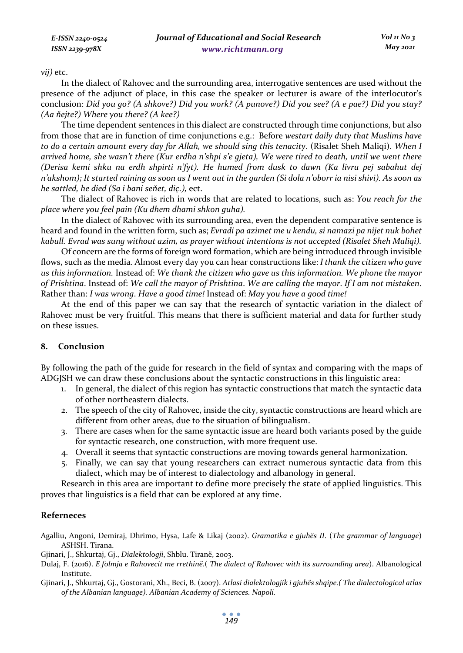#### *vij)* etc.

In the dialect of Rahovec and the surrounding area, interrogative sentences are used without the presence of the adjunct of place, in this case the speaker or lecturer is aware of the interlocutor's conclusion: *Did you go? (A shkove?) Did you work? (A punove?) Did you see? (A e pae?) Did you stay? (Aa ňejte?) Where you there? (A kee?)* 

The time dependent sentences in this dialect are constructed through time conjunctions, but also from those that are in function of time conjunctions e.g.: Before *westart daily duty that Muslims have to do a certain amount every day for Allah, we should sing this tenacity*. (Risalet Sheh Maliqi). *When I arrived home, she wasn't there (Kur erdha n'shpi s'e gjeta), We were tired to death, until we went there (Derisa kemi shku na erdh shpirti n'fyt). He humed from dusk to dawn (Ka livru pej sabahut dej n'akshom); It started raining as soon as I went out in the garden (Si dola n'oborr ia nisi shivi). As soon as he sattled, he died (Sa i bani seňet, diç.),* ect.

The dialect of Rahovec is rich in words that are related to locations, such as: *You reach for the place where you feel pain (Ku dhem dhami shkon guha).* 

In the dialect of Rahovec with its surrounding area, even the dependent comparative sentence is heard and found in the written form, such as; *Evradi pa azimet me u kendu, si namazi pa nijet nuk bohet kabull. Evrad was sung without azim, as prayer without intentions is not accepted (Risalet Sheh Maliqi).*

Of concern are the forms of foreign word formation, which are being introduced through invisible flows, such as the media. Almost every day you can hear constructions like: *I thank the citizen who gave us this information.* Instead of: *We thank the citizen who gave us this information. We phone the mayor of Prishtina*. Instead of: *We call the mayor of Prishtina*. *We are calling the mayor*. *If I am not mistaken*. Rather than: *I was wrong*. *Have a good time!* Instead of: *May you have a good time!* 

At the end of this paper we can say that the research of syntactic variation in the dialect of Rahovec must be very fruitful. This means that there is sufficient material and data for further study on these issues.

## **8. Conclusion**

By following the path of the guide for research in the field of syntax and comparing with the maps of ADGJSH we can draw these conclusions about the syntactic constructions in this linguistic area:

- 1. In general, the dialect of this region has syntactic constructions that match the syntactic data of other northeastern dialects.
- 2. The speech of the city of Rahovec, inside the city, syntactic constructions are heard which are different from other areas, due to the situation of bilingualism.
- 3. There are cases when for the same syntactic issue are heard both variants posed by the guide for syntactic research, one construction, with more frequent use.
- 4. Overall it seems that syntactic constructions are moving towards general harmonization.
- 5. Finally, we can say that young researchers can extract numerous syntactic data from this dialect, which may be of interest to dialectology and albanology in general.

Research in this area are important to define more precisely the state of applied linguistics. This proves that linguistics is a field that can be explored at any time.

## **Referneces**

Agalliu, Angoni, Demiraj, Dhrimo, Hysa, Lafe & Likaj (2002). *Gramatika e gjuhës II*. (*The grammar of language*) ASHSH. Tirana.

Gjinari, J., Shkurtaj, Gj., *Dialektologji*, Shblu. Tiranë, 2003.

- Dulaj, F. (2016). *E folmja e Rahovecit me rrethinë*.( *The dialect of Rahovec with its surrounding area*). Albanological Institute.
- Gjinari, J., Shkurtaj, Gj., Gostorani, Xh., Beci, B. (2007). *Atlasi dialektologjik i gjuhës shqipe.( The dialectological atlas of the Albanian language). Albanian Academy of Sciences. Napoli.*